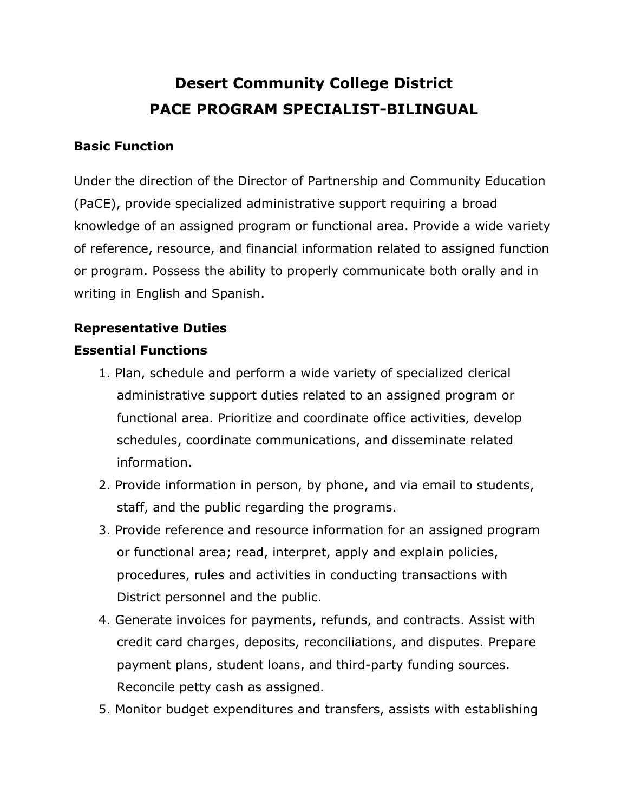# **Desert Community College District PACE PROGRAM SPECIALIST-BILINGUAL**

#### **Basic Function**

Under the direction of the Director of Partnership and Community Education (PaCE), provide specialized administrative support requiring a broad knowledge of an assigned program or functional area. Provide a wide variety of reference, resource, and financial information related to assigned function or program. Possess the ability to properly communicate both orally and in writing in English and Spanish.

## **Representative Duties**

### **Essential Functions**

- 1. Plan, schedule and perform a wide variety of specialized clerical administrative support duties related to an assigned program or functional area. Prioritize and coordinate office activities, develop schedules, coordinate communications, and disseminate related information.
- 2. Provide information in person, by phone, and via email to students, staff, and the public regarding the programs.
- 3. Provide reference and resource information for an assigned program or functional area; read, interpret, apply and explain policies, procedures, rules and activities in conducting transactions with District personnel and the public.
- 4. Generate invoices for payments, refunds, and contracts. Assist with credit card charges, deposits, reconciliations, and disputes. Prepare payment plans, student loans, and third-party funding sources. Reconcile petty cash as assigned.
- 5. Monitor budget expenditures and transfers, assists with establishing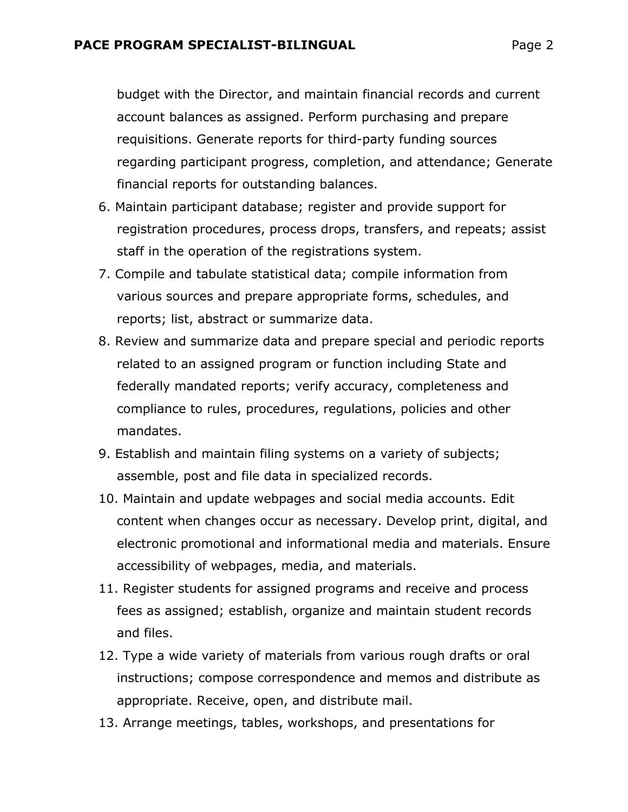budget with the Director, and maintain financial records and current account balances as assigned. Perform purchasing and prepare requisitions. Generate reports for third-party funding sources regarding participant progress, completion, and attendance; Generate financial reports for outstanding balances.

- 6. Maintain participant database; register and provide support for registration procedures, process drops, transfers, and repeats; assist staff in the operation of the registrations system.
- 7. Compile and tabulate statistical data; compile information from various sources and prepare appropriate forms, schedules, and reports; list, abstract or summarize data.
- 8. Review and summarize data and prepare special and periodic reports related to an assigned program or function including State and federally mandated reports; verify accuracy, completeness and compliance to rules, procedures, regulations, policies and other mandates.
- 9. Establish and maintain filing systems on a variety of subjects; assemble, post and file data in specialized records.
- 10. Maintain and update webpages and social media accounts. Edit content when changes occur as necessary. Develop print, digital, and electronic promotional and informational media and materials. Ensure accessibility of webpages, media, and materials.
- 11. Register students for assigned programs and receive and process fees as assigned; establish, organize and maintain student records and files.
- 12. Type a wide variety of materials from various rough drafts or oral instructions; compose correspondence and memos and distribute as appropriate. Receive, open, and distribute mail.
- 13. Arrange meetings, tables, workshops, and presentations for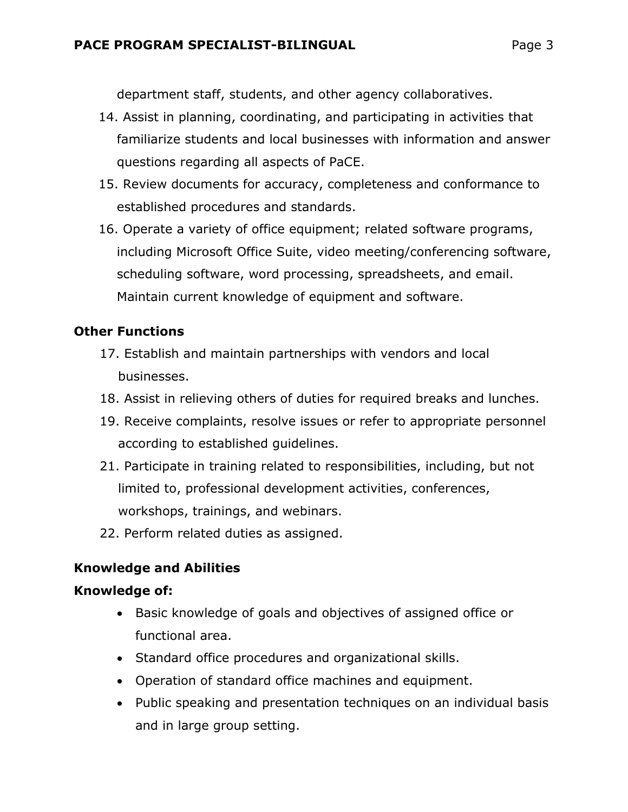department staff, students, and other agency collaboratives.

- 14. Assist in planning, coordinating, and participating in activities that familiarize students and local businesses with information and answer questions regarding all aspects of PaCE.
- 15. Review documents for accuracy, completeness and conformance to established procedures and standards.
- 16. Operate a variety of office equipment; related software programs, including Microsoft Office Suite, video meeting/conferencing software, scheduling software, word processing, spreadsheets, and email. Maintain current knowledge of equipment and software.

# **Other Functions**

- 17. Establish and maintain partnerships with vendors and local businesses.
- 18. Assist in relieving others of duties for required breaks and lunches.
- 19. Receive complaints, resolve issues or refer to appropriate personnel according to established guidelines.
- 21. Participate in training related to responsibilities, including, but not limited to, professional development activities, conferences, workshops, trainings, and webinars.
- 22. Perform related duties as assigned.

# **Knowledge and Abilities**

# **Knowledge of:**

- Basic knowledge of goals and objectives of assigned office or functional area.
- Standard office procedures and organizational skills.
- Operation of standard office machines and equipment.
- Public speaking and presentation techniques on an individual basis and in large group setting.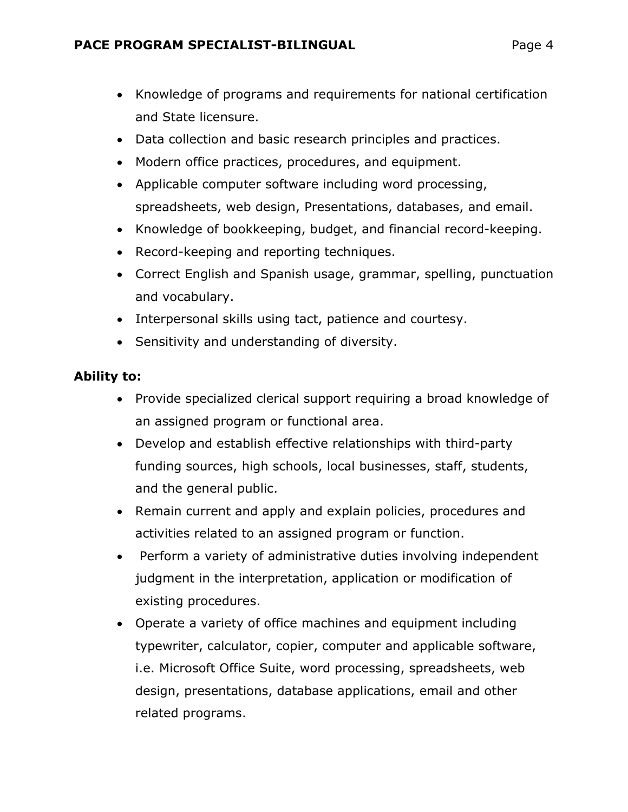- Knowledge of programs and requirements for national certification and State licensure.
- Data collection and basic research principles and practices.
- Modern office practices, procedures, and equipment.
- Applicable computer software including word processing, spreadsheets, web design, Presentations, databases, and email.
- Knowledge of bookkeeping, budget, and financial record-keeping.
- Record-keeping and reporting techniques.
- Correct English and Spanish usage, grammar, spelling, punctuation and vocabulary.
- Interpersonal skills using tact, patience and courtesy.
- Sensitivity and understanding of diversity.

# **Ability to:**

- Provide specialized clerical support requiring a broad knowledge of an assigned program or functional area.
- Develop and establish effective relationships with third-party funding sources, high schools, local businesses, staff, students, and the general public.
- Remain current and apply and explain policies, procedures and activities related to an assigned program or function.
- Perform a variety of administrative duties involving independent judgment in the interpretation, application or modification of existing procedures.
- Operate a variety of office machines and equipment including typewriter, calculator, copier, computer and applicable software, i.e. Microsoft Office Suite, word processing, spreadsheets, web design, presentations, database applications, email and other related programs.